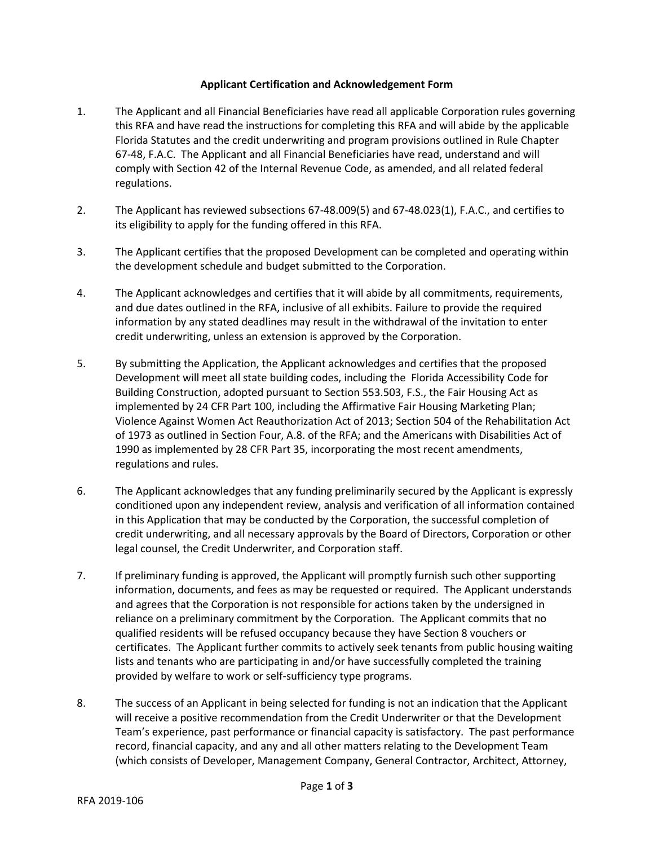## **Applicant Certification and Acknowledgement Form**

- 1. The Applicant and all Financial Beneficiaries have read all applicable Corporation rules governing this RFA and have read the instructions for completing this RFA and will abide by the applicable Florida Statutes and the credit underwriting and program provisions outlined in Rule Chapter 67-48, F.A.C. The Applicant and all Financial Beneficiaries have read, understand and will comply with Section 42 of the Internal Revenue Code, as amended, and all related federal regulations.
- 2. The Applicant has reviewed subsections 67-48.009(5) and 67-48.023(1), F.A.C., and certifies to its eligibility to apply for the funding offered in this RFA.
- 3. The Applicant certifies that the proposed Development can be completed and operating within the development schedule and budget submitted to the Corporation.
- 4. The Applicant acknowledges and certifies that it will abide by all commitments, requirements, and due dates outlined in the RFA, inclusive of all exhibits. Failure to provide the required information by any stated deadlines may result in the withdrawal of the invitation to enter credit underwriting, unless an extension is approved by the Corporation.
- 5. By submitting the Application, the Applicant acknowledges and certifies that the proposed Development will meet all state building codes, including the Florida Accessibility Code for Building Construction, adopted pursuant to Section 553.503, F.S., the Fair Housing Act as implemented by 24 CFR Part 100, including the Affirmative Fair Housing Marketing Plan; Violence Against Women Act Reauthorization Act of 2013; Section 504 of the Rehabilitation Act of 1973 as outlined in Section Four, A.8. of the RFA; and the Americans with Disabilities Act of 1990 as implemented by 28 CFR Part 35, incorporating the most recent amendments, regulations and rules.
- 6. The Applicant acknowledges that any funding preliminarily secured by the Applicant is expressly conditioned upon any independent review, analysis and verification of all information contained in this Application that may be conducted by the Corporation, the successful completion of credit underwriting, and all necessary approvals by the Board of Directors, Corporation or other legal counsel, the Credit Underwriter, and Corporation staff.
- 7. If preliminary funding is approved, the Applicant will promptly furnish such other supporting information, documents, and fees as may be requested or required. The Applicant understands and agrees that the Corporation is not responsible for actions taken by the undersigned in reliance on a preliminary commitment by the Corporation. The Applicant commits that no qualified residents will be refused occupancy because they have Section 8 vouchers or certificates. The Applicant further commits to actively seek tenants from public housing waiting lists and tenants who are participating in and/or have successfully completed the training provided by welfare to work or self-sufficiency type programs.
- 8. The success of an Applicant in being selected for funding is not an indication that the Applicant will receive a positive recommendation from the Credit Underwriter or that the Development Team's experience, past performance or financial capacity is satisfactory. The past performance record, financial capacity, and any and all other matters relating to the Development Team (which consists of Developer, Management Company, General Contractor, Architect, Attorney,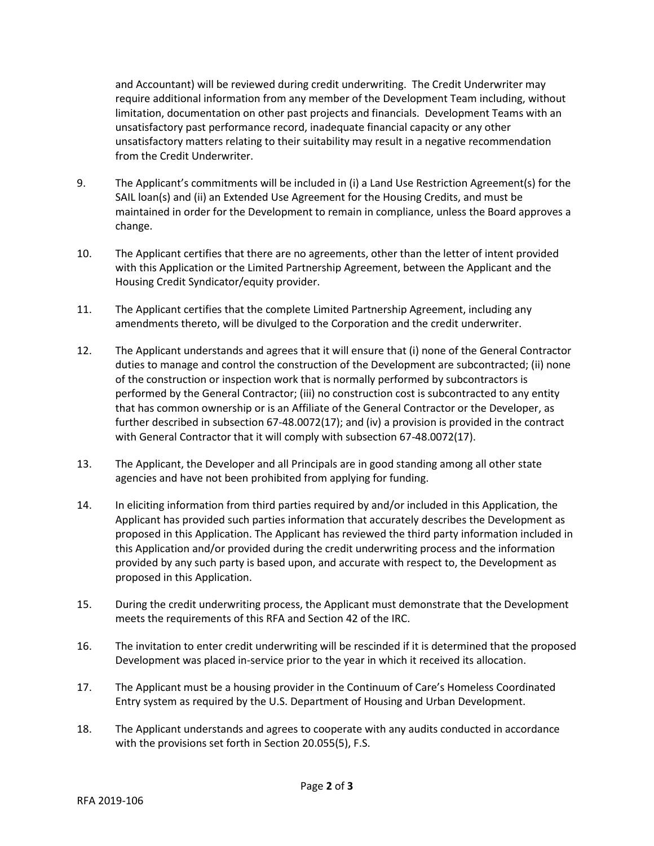and Accountant) will be reviewed during credit underwriting. The Credit Underwriter may require additional information from any member of the Development Team including, without limitation, documentation on other past projects and financials. Development Teams with an unsatisfactory past performance record, inadequate financial capacity or any other unsatisfactory matters relating to their suitability may result in a negative recommendation from the Credit Underwriter.

- 9. The Applicant's commitments will be included in (i) a Land Use Restriction Agreement(s) for the SAIL loan(s) and (ii) an Extended Use Agreement for the Housing Credits, and must be maintained in order for the Development to remain in compliance, unless the Board approves a change.
- 10. The Applicant certifies that there are no agreements, other than the letter of intent provided with this Application or the Limited Partnership Agreement, between the Applicant and the Housing Credit Syndicator/equity provider.
- 11. The Applicant certifies that the complete Limited Partnership Agreement, including any amendments thereto, will be divulged to the Corporation and the credit underwriter.
- 12. The Applicant understands and agrees that it will ensure that (i) none of the General Contractor duties to manage and control the construction of the Development are subcontracted; (ii) none of the construction or inspection work that is normally performed by subcontractors is performed by the General Contractor; (iii) no construction cost is subcontracted to any entity that has common ownership or is an Affiliate of the General Contractor or the Developer, as further described in subsection 67-48.0072(17); and (iv) a provision is provided in the contract with General Contractor that it will comply with subsection 67-48.0072(17).
- 13. The Applicant, the Developer and all Principals are in good standing among all other state agencies and have not been prohibited from applying for funding.
- 14. In eliciting information from third parties required by and/or included in this Application, the Applicant has provided such parties information that accurately describes the Development as proposed in this Application. The Applicant has reviewed the third party information included in this Application and/or provided during the credit underwriting process and the information provided by any such party is based upon, and accurate with respect to, the Development as proposed in this Application.
- 15. During the credit underwriting process, the Applicant must demonstrate that the Development meets the requirements of this RFA and Section 42 of the IRC.
- 16. The invitation to enter credit underwriting will be rescinded if it is determined that the proposed Development was placed in-service prior to the year in which it received its allocation.
- 17. The Applicant must be a housing provider in the Continuum of Care's Homeless Coordinated Entry system as required by the U.S. Department of Housing and Urban Development.
- 18. The Applicant understands and agrees to cooperate with any audits conducted in accordance with the provisions set forth in Section 20.055(5), F.S.